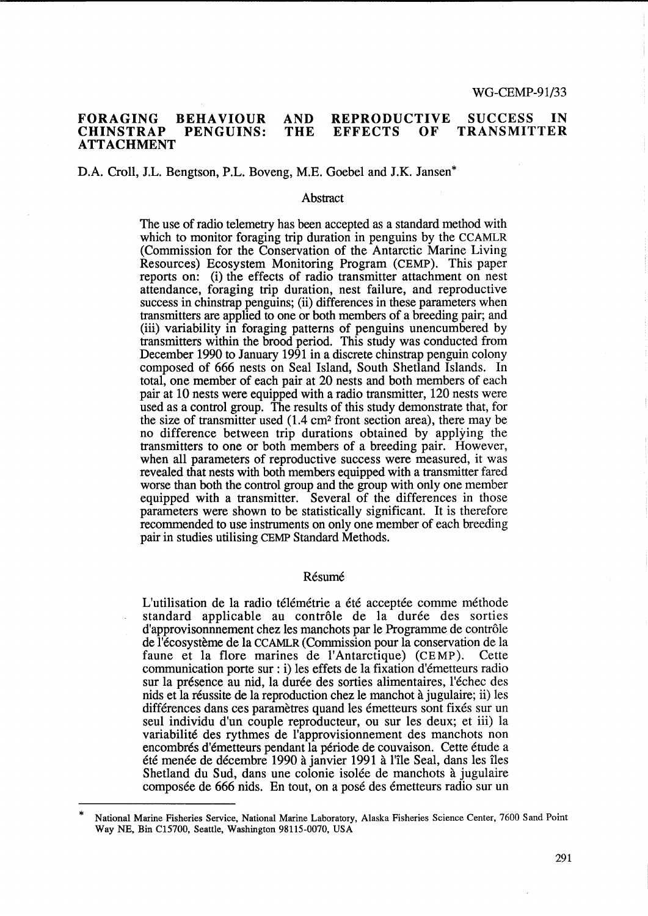#### FORAGING CHINSTRAP ATTACHMENT BEHAVIOUR PENGUINS: AND **THE** REPRODUCTIVE<br>EFFECTS OF **EFFECTS** SUCCESS IN TRANSMITTER

# D.A. Croll, J.L. Bengtson, P.L. Boveng, M.E. Goebel and J.K. Jansen\*

#### **Abstract**

The use of radio telemetry has been accepted as a standard method with which to monitor foraging trip duration in penguins by the CCAMLR (Commission for the Conservation of the Antarctic Marine Living Resources) Ecosystem Monitoring Program (CEMP). This paper reports on: (i) the effects of radio transmitter attachment on nest attendance, foraging trip duration, nest failure, and reproductive success in chinstrap penguins; (ii) differences in these parameters when transmitters are applied to one or both members of a breeding pair; and (iii) variability in foraging patterns of penguins unencumbered by transmitters within the brood period. This study was conducted from December 1990 to January 1991 in a discrete chinstrap penguin colony composed of 666 nests on Seal Island, South Shetland Islands. In total, one member of each pair at 20 nests and both members of each pair at 10 nests were equipped with a radio transmitter, 120 nests were used as a control group. The results of this study demonstrate that, for the size of transmitter used (1.4 cm2 front section area), there may be no difference between trip durations obtained by applying the transmitters to one or both members of a breeding pair. However, when all parameters of reproductive success were measured, it was revealed that nests with both members equipped with a transmitter fared worse than both the control group and the group with only one member equipped with a transmitter. Several of the differences in those parameters were shown to be statistically significant. It is therefore recommended to use instruments on only one member of each breeding pair in studies utilising CEMP Standard Methods.

#### Résumé

L'utilisation de la radio télémétrie a été acceptée comme méthode standard applicable au contrôle de la durée des sorties d'approvisonnement chez les manchots par le Programme de contrôle de l'ecosysteme de la CCAMLR (Commission pour la conservation de la faune et la flore marines de l'Antarctique) (CEMP). Cette communication porte sur: i) les effets de la fixation d'emetteurs radio sur la presence au nid, la duree des sorties alimentaires, l'echec des nids et la reussite de la reproduction chez le manchot a jugulaire; ii) les différences dans ces paramètres quand les émetteurs sont fixés sur un seul individu d'un couple reproducteur, ou sur les deux; et iii) la variabilite des rythmes de l'approvisionnement des manchots non encombrés d'émetteurs pendant la période de couvaison. Cette étude a ete menee de decembre 1990 a janvier 1991 a l'ile Seal, dans les iles Shetland du Sud, dans une colonie isolée de manchots à jugulaire composée de 666 nids. En tout, on a posé des émetteurs radio sur un

National Marine Fisheries Service, National Marine Laboratory, Alaska Fisheries Science Center, 7600 Sand Point Way NE, Bin C15700, Seattle, Washington 98115-0070, USA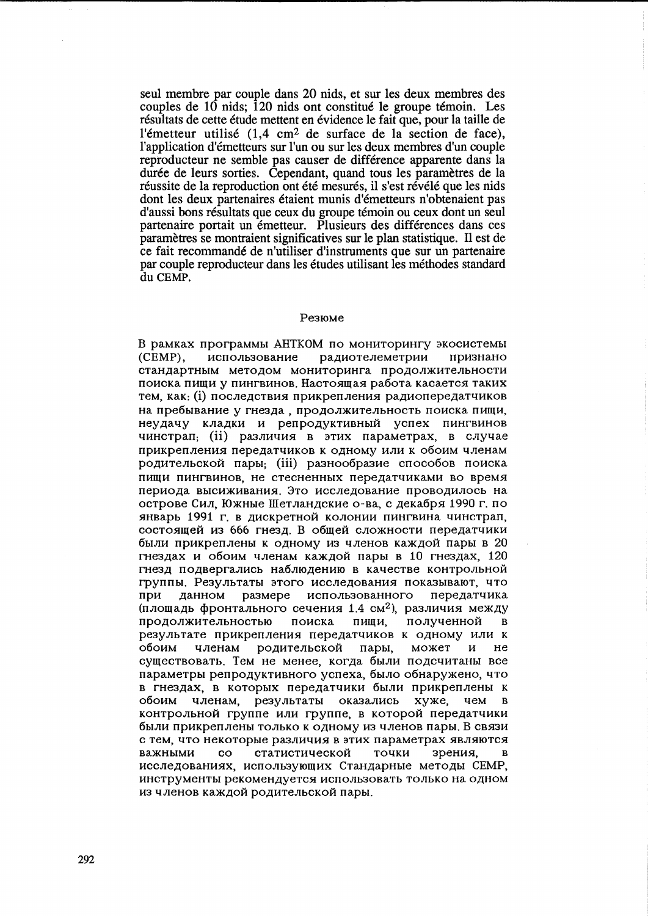seul membre par couple dans 20 nids, et sur les deux membres des couples de 10 nids: 120 nids ont constitué le groupe témoin. Les résultats de cette étude mettent en évidence le fait que, pour la taille de l'émetteur utilisé  $(1,4 \text{ cm}^2 \text{ de surface de la section de face}),$ l'application d'émetteurs sur l'un ou sur les deux membres d'un couple reproducteur ne semble pas causer de différence apparente dans la durée de leurs sorties. Cependant, quand tous les paramètres de la réussite de la reproduction ont été mesurés, il s'est révélé que les nids dont les deux partenaires étaient munis d'émetteurs n'obtenaient pas d'aussi bons résultats que ceux du groupe témoin ou ceux dont un seul partenaire portait un émetteur. Plusieurs des différences dans ces paramètres se montraient significatives sur le plan statistique. Il est de ce fait recommandé de n'utiliser d'instruments que sur un partenaire par couple reproducteur dans les études utilisant les méthodes standard du CEMP.

#### Резюме

В рамках программы АНТКОМ по мониторингу экосистемы  $(CEMP)$ . использование радиотелеметрии признано стандартным методом мониторинга продолжительности поиска пищи у пингвинов. Настоящая работа касается таких тем, как: (i) последствия прикрепления радиопередатчиков на пребывание у гнезда, продолжительность поиска пищи, неудачу кладки и репродуктивный успех пингвинов чинстрап, (ii) различия в этих параметрах, в случае прикрепления передатчиков к одному или к обоим членам родительской пары; (iii) разнообразие способов поиска пищи пингвинов, не стесненных передатчиками во время периода высиживания. Это исследование проводилось на острове Сил, Южные Шетландские о-ва, с декабря 1990 г. по январь 1991 г. в дискретной колонии пингвина чинстрап, состоящей из 666 гнезд. В общей сложности передатчики были прикреплены к одному из членов каждой пары в 20 гнездах и обоим членам каждой пары в 10 гнездах. 120 гнезд подвергались наблюдению в качестве контрольной группы. Результаты этого исследования показывают, что при данном размере использованного передатчика (площадь фронтального сечения 1.4 см<sup>2</sup>), различия между продолжительностью полученной поиска пищи,  $\bf{B}$ результате прикрепления передатчиков к одному или к членам родительской пары. может обоим  $\boldsymbol{\mathsf{M}}$ He существовать. Тем не менее, когда были подсчитаны все параметры репродуктивного успеха, было обнаружено, что в гнездах, в которых передатчики были прикреплены к обоим членам, результаты оказались хуже. чем  $\overline{\mathbf{R}}$ контрольной группе или группе, в которой передатчики были прикреплены только к одному из членов пары. В связи с тем, что некоторые различия в этих параметрах являются статистической точки зрения. важными  $_{\rm co}$  $\mathbf{R}$ исследованиях, использующих Стандарные методы СЕМР, инструменты рекомендуется использовать только на одном из членов каждой родительской пары.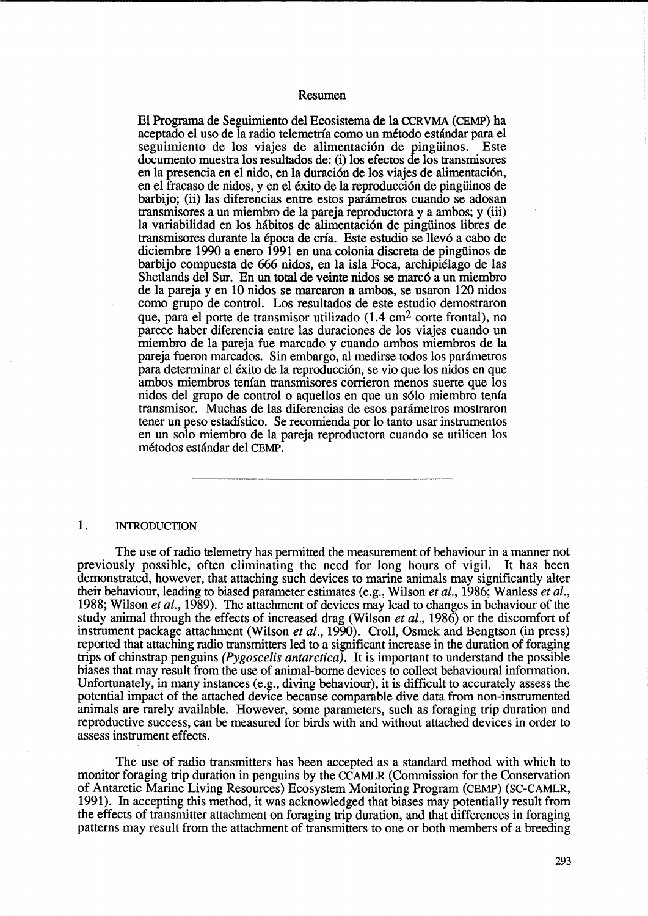#### Resumen

El Programa de Seguimiento del Ecosistema de la CCRVMA (CEMP) ha aceptado el uso de la radio telemetria coma un metodo estandar para el seguimiento de los viajes de alimentación de pingüinos. Este documento muestra los resultados de: (i) los efectos de los transmisores en la presencia en el nido, en la duración de los viajes de alimentación, en el fracaso de nidos, y en el exito de la reproducci6n de pingiiinos de barbijo; (ii) las diferencias entre estos parametros cuando se adosan transmisores a un miembro de la pareja reproductora y a ambos; y (iii) la variabilidad en los hábitos de alimentación de pingüinos libres de transmisores durante la epoca de cria. Este estudio se llev6 a cabo de diciembre 1990 a enero 1991 en una colonia discreta de pingiiinos de barbijo compuesta de 666 nidos, en la isla Foca, archipielago de las Shetlands del Sur. En un total de veinte nidos se marc6 a un miembro de la pareja y en 10 nidos se marcaron a ambos, se usaron 120 nidos coma grupo de control. Los resultados de este estudio demostraron que, para el porte de transmisor utilizado (1.4 cm2 corte frontal), no parece haber diferencia entre las duraciones de los viajes cuando un miembro de la pareja fue marcado y cuando ambos miembros de la pareja fueron marcados. Sin embargo, al medirse todos los parametros para determinar el exito de la reproducci6n, se vio que los nidos en que ambos miembros tenian transmisores corrieron menos suerte que los nidos del grupo de control 0 aquellos en que un s6lo miembro tenia transmisor. Muchas de las diferencias de esos parametros mostraron tener un peso estadistico. Se recomienda por 10 tanto usar instrumentos en un solo miembro de la pareja reproductora cuando se utilicen los metodos estandar del CEMP.

## 1. INTRODUCTION

The use of radio telemetry has permitted the measurement of behaviour in a manner not previously possible, often eliminating the need for long hours of vigil. It has been demonstrated, however, that attaching such devices to marine animals may significantly alter their behaviour, leading to biased parameter estimates (e.g., Wilson *et al.,* 1986; Wanless *et al.,*  1988; Wilson *et al.,* 1989). The attachment of devices may lead to changes in behaviour of the study animal through the effects of increased drag (Wilson *et al.,* 1986) or the discomfort of instrument package attachment (Wilson *et al.,* 1990). Croll, Osmek and Bengtson (in press) reported that attaching radio transmitters led to a significant increase in the duration of foraging trips of chinstrap penguins *(Pygoscelis antarctica).* It is important to understand the possible biases that may result from the use of animal-borne devices to collect behavioural information. Unfortunately, in many instances (e.g., diving behaviour), it is difficult to accurately assess the potential impact of the attached device because comparable dive data from non-instrumented animals are rarely available. However, some parameters, such as foraging trip duration and reproductive success, can be measured for birds with and without attached devices in order to assess instrument effects.

The use of radio transmitters has been accepted as a standard method with which to monitor foraging trip duration in penguins by the CCAMLR (Commission for the Conservation of Antarctic Marine Living Resources) Ecosystem Monitoring Program (CEMP) (SC-CAMLR, 1991). In accepting this method, it was acknowledged that biases may potentially result from the effects of transmitter attachment on foraging trip duration, and that differences in foraging patterns may result from the attachment of transmitters to one or both members of a breeding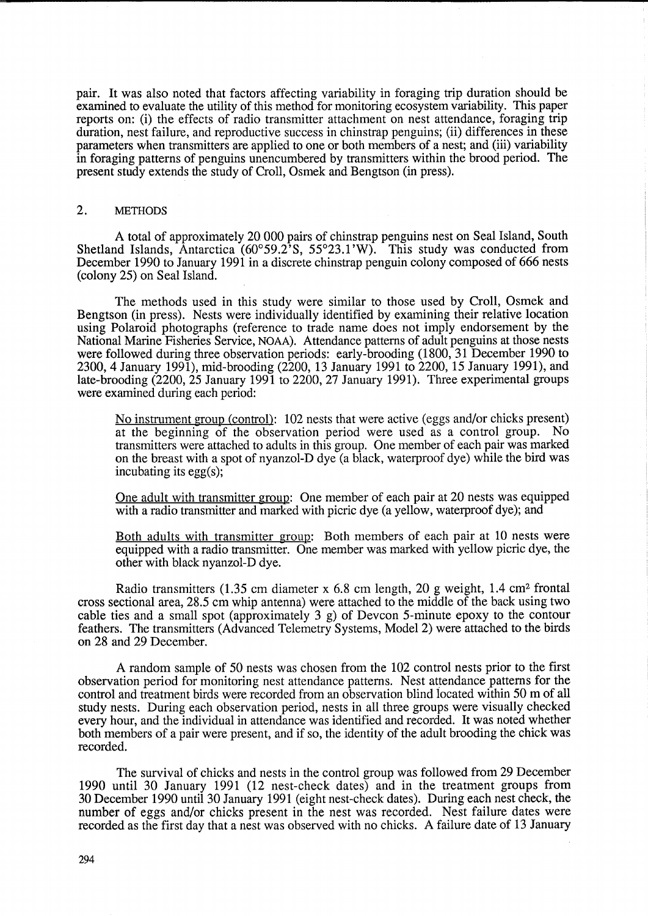pair. It was also noted that factors affecting variability in foraging trip duration should be examined to evaluate the utility of this method for monitoring ecosystem variability. This paper reports on: (i) the effects of radio transmitter attachment on nest attendance, foraging trip duration, nest failure, and reproductive success in chinstrap penguins; (ii) differences in these parameters when transmitters are applied to one or both members of a nest; and (iii) variability in foraging patterns of penguins unencumbered by transmitters within the brood period. The present study extends the study of Croll, Osmek and Bengtson (in press).

# 2. METHODS

A total of approximately 20 000 pairs of chinstrap penguins nest on Seal Island, South Shetland Islands, Antarctica  $(60^{\circ}59.2^{\circ}S, 55^{\circ}23.1^{\circ}W)$ . This study was conducted from December 1990 to January 1991 in a discrete chinstrap penguin colony composed of 666 nests (colony 25) on Seal Island.

The methods used in this study were similar to those used by Croll, Osmek and Bengtson (in press). Nests were individually identified by examining their relative location using Polaroid photographs (reference to trade name does not imply endorsement by the National Marine Fisheries Service, NOAA). Attendance patterns of adult penguins at those nests were followed during three observation periods: early-brooding (1800, 31 December 1990 to 2300,4 January 1991), mid-brooding (2200, 13 January 1991 to 2200, 15 January 1991), and late-brooding (2200, 25 January 1991 to 2200,27 January 1991). Three experimental groups were examined during each period:

No instrument group (control): 102 nests that were active (eggs and/or chicks present) at the beginning of the observation period were used as a control group. No transmitters were attached to adults in this group. One member of each pair was marked on the breast with a spot of nyanzol-D dye (a black, waterproof dye) while the bird was incubating its egg(s);

One adult with transmitter group: One member of each pair at 20 nests was equipped with a radio transmitter and marked with picric dye (a yellow, waterproof dye); and

Both adults with transmitter group: Both members of each pair at 10 nests were equipped with a radio transmitter. One member was marked with yellow picric dye, the other with black nyanzol-D dye.

Radio transmitters (1.35 cm diameter x 6.8 cm length, 20 g weight, 1.4 cm2 frontal cross sectional area, 28.5 cm whip antenna) were attached to the middle of the back using two cable ties and a small spot (approximately 3 g) of Devcon 5-minute epoxy to the contour feathers. The transmitters (Advanced Telemetry Systems, Model 2) were attached to the birds on 28 and 29 December.

A random sample of 50 nests was chosen from the 102 control nests prior to the first observation period for monitoring nest attendance patterns. Nest attendance patterns for the control and treatment birds were recorded from an observation blind located within 50 m of all study nests. During each observation period, nests in all three groups were visually checked every hour, and the individual in attendance was identified and recorded. It was noted whether both members of a pair were present, and if so, the identity of the adult brooding the chick was recorded.

The survival of chicks and nests in the control group was followed from 29 December 1990 until 30 January 1991 (12 nest-check dates) and in the treatment groups from 30 December 1990 until 30 January 1991 (eight nest-check dates). During each nest check, the number of eggs and/or chicks present in the nest was recorded. Nest failure dates were recorded as the first day that a nest was observed with no chicks. A failure date of 13 January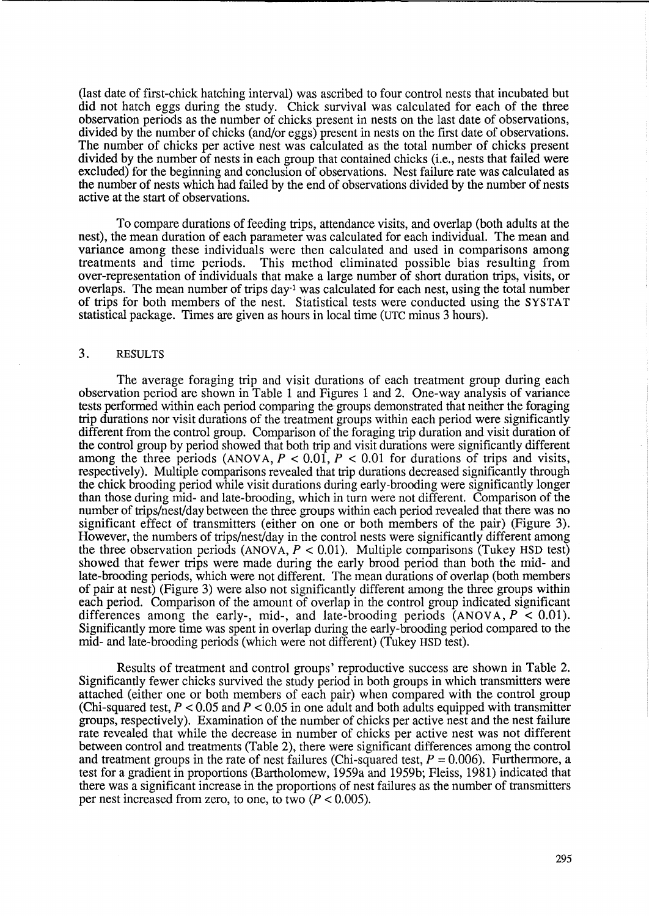(last date of first-chick hatching interval) was ascribed to four control nests that incubated but did not hatch eggs during the study. Chick survival was calculated for each of the three observation periods as the number of chicks present in nests on the last date of observations, divided by the number of chicks (and/or eggs) present in nests on the first date of observations. The number of chicks per active nest was calculated as the total number of chicks present divided by the number of nests in each group that contained chicks (*i.e.*, nests that failed were excluded) for the beginning and conclusion of observations. Nest failure rate was calculated as the number of nests which had failed by the end of observations divided by the number of nests active at the start of observations.

To compare durations of feeding trips, attendance visits, and overlap (both adults at the nest), the mean duration of each parameter was calculated for each individual. The mean and variance among these individuals were then calculated and used in comparisons among treatments and time periods. This method eliminated possible bias resulting from over-representation of individuals that make a large number of short duration trips, visits, or overlaps. The mean number of trips day<sup>-1</sup> was calculated for each nest, using the total number of trips for both members of the nest. Statistical tests were conducted using the SYSTAT statistical package. Times are given as hours in local time (UTC minus 3 hours).

# 3. RESULTS

The average foraging trip and visit durations of each treatment group during each observation period are shown in Table 1 and Figures 1 and 2. One-way analysis of variance tests performed within each period comparing the' groups demonstrated that neither the foraging trip durations nor visit durations of the treatment groups within each period were significantly different from the control group. Comparison of the foraging trip duration and visit duration of the control group by period showed that both trip and visit durations were significantly different among the three periods  $(ANOVA, P < 0.01, P < 0.01$  for durations of trips and visits, respectively). Multiple comparisons revealed that trip durations decreased significantly through the chick brooding period while visit durations during early-brooding were significantly longer than those during mid- and late-brooding, which in turn were not different. Comparison of the number of trips/nest/day between the three groups within each period revealed that there was no significant effect of transmitters (either on one or both members of the pair) (Figure 3). However, the numbers of trips/nest/day in the control nests were significantly different among the three observation periods (ANOVA,  $P < 0.01$ ). Multiple comparisons (Tukey HSD test) showed that fewer trips were made during the early brood period than both the mid- and late-brooding periods, which were not different. The mean durations of overlap (both members of pair at nest) (Figure 3) were also not significantly different among the three groups within each period. Comparison of the amount of overlap in the control group indicated significant differences among the early-, mid-, and late-brooding periods  $\text{(ANOVA, } P < 0.01)$ . Significantly more time was spent in overlap during the early-brooding period compared to the mid- and late-brooding periods (which were not different) (Tukey HSD test).

Results of treatment and control groups' reproductive success are shown in Table 2. Significantly fewer chicks survived the study period in both groups in which transmitters were attached (either one or both members of each pair) when compared with the control group (Chi-squared test,  $P < 0.05$  and  $P < 0.05$  in one adult and both adults equipped with transmitter groups, respectively). Examination of the number of chicks per active nest and the nest failure rate revealed that while the decrease in number of chicks per active nest was not different between control and treatments (Table 2), there were significant differences among the control and treatment groups in the rate of nest failures (Chi-squared test,  $P = 0.006$ ). Furthermore, a test for a gradient in proportions (Bartholomew, 1959a and 1959b; Fleiss, 1981) indicated that there was a significant increase in the proportions of nest failures as the number of transmitters per nest increased from zero, to one, to two  $(P < 0.005)$ .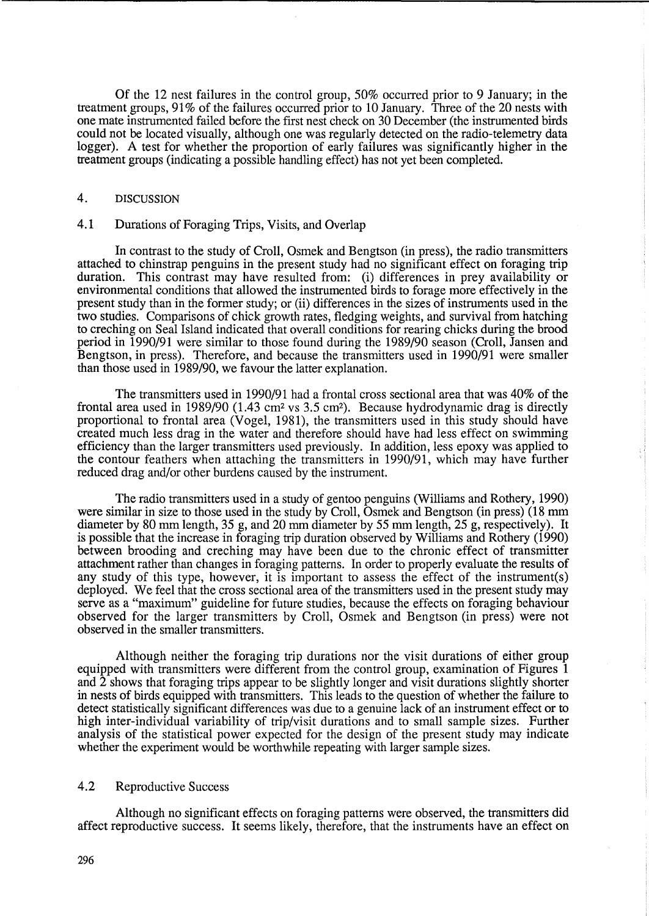Of the 12 nest failures in the control group, 50% occurred prior to 9 January; in the treatment groups, 91 % of the failures occurred prior to 10 January. Three of the 20 nests with one mate instrumented failed before the first nest check on 30 December (the instrumented birds could not be located visually, although one was regularly detected on the radio-telemetry data logger). A test for whether the proportion of early failures was significantly higher in the treatment groups (indicating a possible handling effect) has not yet been completed.

# 4. DISCUSSION

## 4.1 Durations of Foraging Trips, Visits, and Overlap

In contrast to the study of Croll, Osmek and Bengtson (in press), the radio transmitters attached to chinstrap penguins in the present study had no significant effect on foraging trip duration. This contrast may have resulted from: (i) differences in prey availability or environmental conditions that allowed the instrumented birds to forage more effectively in the present study than in the former study; or (ii) differences in the sizes of instruments used in the two studies. Comparisons of chick growth rates, fledging weights, and survival from hatching to creching on Seal Island indicated that overall conditions for rearing chicks during the brood period in 1990/91 were similar to those found during the 1989/90 season (Croll, Jansen and Bengtson, in press). Therefore, and because the transmitters used in 1990/91 were smaller than those used in 1989/90, we favour the latter explanation.

The transmitters used in 1990/91 had a frontal cross sectional area that was 40% of the frontal area used in 1989/90 (1.43 cm2 vs 3.5 cm2). Because hydrodynamic drag is directly proportional to frontal area (Vogel, 1981), the transmitters used in this study should have created much less drag in the water and therefore should have had less effect on swimming efficiency than the larger transmitters used previously. In addition, less epoxy was applied to the contour feathers when attaching the transmitters in 1990/91, which may have further reduced drag and/or other burdens caused by the instrument.

The radio transmitters used in a study of gentoo penguins (Williams and Rothery, 1990) were similar in size to those used in the study by Croll, Osmek and Bengtson (in press) (18 mm diameter by 80 mm length, 35 g, and 20 mm diameter by 55 mm length, 25 g, respectively). It is possible that the increase in foraging trip duration observed by Williams and Rothery (1990) between brooding and creching may have been due to the chronic effect of transmitter attachment rather than changes in foraging patterns. In order to properly evaluate the results of any study of this type, however, it is important to assess the effect of the instrument(s) deployed. We feel that the cross sectional area of the transmitters used in the present study may serve as a "maximum" guideline for future studies, because the effects on foraging behaviour observed for the larger transmitters by Croll, Osmek and Bengtson (in press) were not observed in the smaller transmitters.

Although neither the foraging trip durations nor the visit durations of either group equipped with transmitters were different from the control group, examination of Figures 1 and 2 shows that foraging trips appear to be slightly longer and visit durations slightly shorter in nests of birds equipped with transmitters. This leads to the question of whether the failure to detect statistically significant differences was due to a genuine lack of an instrument effect or to high inter-individual variability of trip/visit durations and to small sample sizes. Further analysis of the statistical power expected for the design of the present study may indicate whether the experiment would be worthwhile repeating with larger sample sizes.

## 4.2 Reproductive Success

Although no significant effects on foraging patterns were observed, the transmitters did affect reproductive success. It seems likely, therefore, that the instruments have an effect on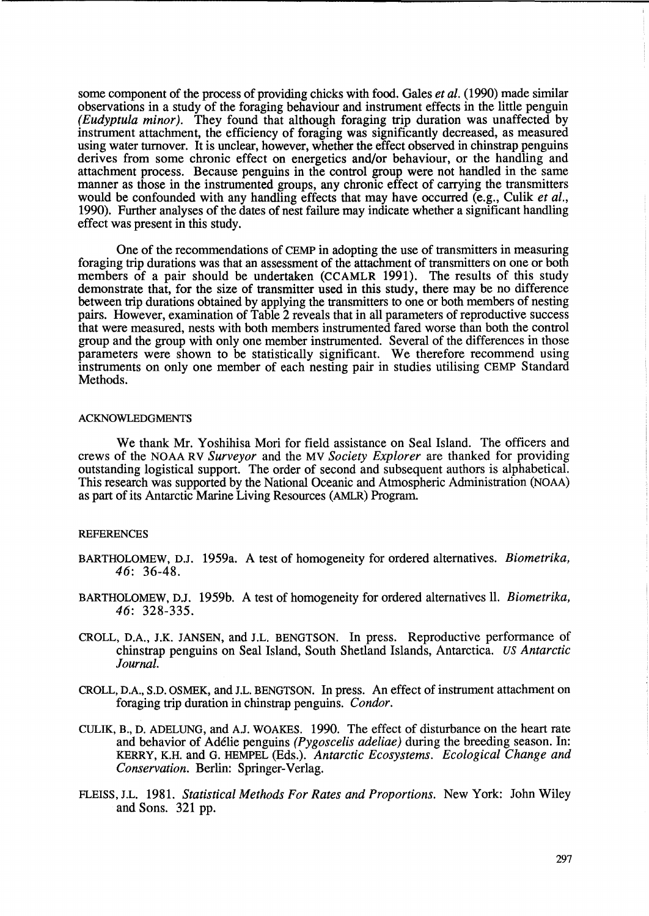some component of the process of providing chicks with food. Gales *et al.* (1990) made similar observations in a study of the foraging behaviour and instrument effects in the little penguin *(Eudyptula minor).* They found that although foraging trip duration was unaffected by instrument attachment, the efficiency of foraging was significantly decreased, as measured using water turnover. It is unclear, however, whether the effect observed in chinstrap penguins derives from some chronic effect on energetics and/or behaviour, or the handling and attachment process. Because penguins in the control group were not handled in the same manner as those in the instrumented groups, any chronic effect of carrying the transmitters would be confounded with any handling effects that may have occurred (e.g., Culik *et al.,*  1990). Further analyses of the dates of nest failure may indicate whether a significant handling effect was present in this study.

One of the recommendations of CEMP in adopting the use of transmitters in measuring foraging trip durations was that an assessment of the attachment of transmitters on one or both members of a pair should be undertaken (CCAMLR 1991). The results of this study demonstrate that, for the size of transmitter used in this study, there may be no difference between trip durations obtained by applying the transmitters to one or both members of nesting pairs. However, examination of Table 2 reveals that in all parameters of reproductive success that were measured, nests with both members instrumented fared worse than both the control group and the group with only one member instrumented. Several of the differences in those parameters were shown to be statistically significant. We therefore recommend using instruments on only one member of each nesting pair in studies utilising CEMP Standard Methods.

#### ACKNOWLEDGMENTS

We thank Mr. Yoshihisa Mori for field assistance on Seal Island. The officers and crews of the NOAA RV *Surveyor* and the MV *Society Explorer* are thanked for providing outstanding logistical support. The order of second and subsequent authors is alphabetical. This research was supported by the National Oceanic and Atmospheric Administration (NOAA) as part of its Antarctic Marine Living Resources (AMLR) Program.

#### **REFERENCES**

- BARTHOLOMEW, D.J. 1959a. A test of homogeneity for ordered alternatives. *Biometrika,*  46: 36-48.
- BARTHOLOMEW, DJ. 1959b. A test of homogeneity for ordered alternatives 11. *Biometrika,*  46: 328-335.
- CROLL, D.A., J.K. JANSEN, and J.L. BENGTSON. In press. Reproductive performance of chinstrap penguins on Seal Island, South Shetland Islands, Antarctica. *us Antarctic Journal.*
- CROLL, D.A., S.D. OSMEK, and J.L. BENGTSON. In press. An effect of instrument attachment on foraging trip duration in chinstrap penguins. *Condor.*
- CULIK, B., D. ADELUNG, and AJ. WOAKES. 1990. The effect of disturbance on the heart rate and behavior of Adelie penguins *(Pygoscelis adeliae)* during the breeding season. In: KERRY, K.H. and G. HEMPEL (Eds.). *Antarctic Ecosystems. Ecological Change and Conservation.* Berlin: Springer-Verlag.
- FLEISS, J.L. 1981. *Statistical Methods For Rates and Proportions.* New York: John Wiley and Sons. 321 pp.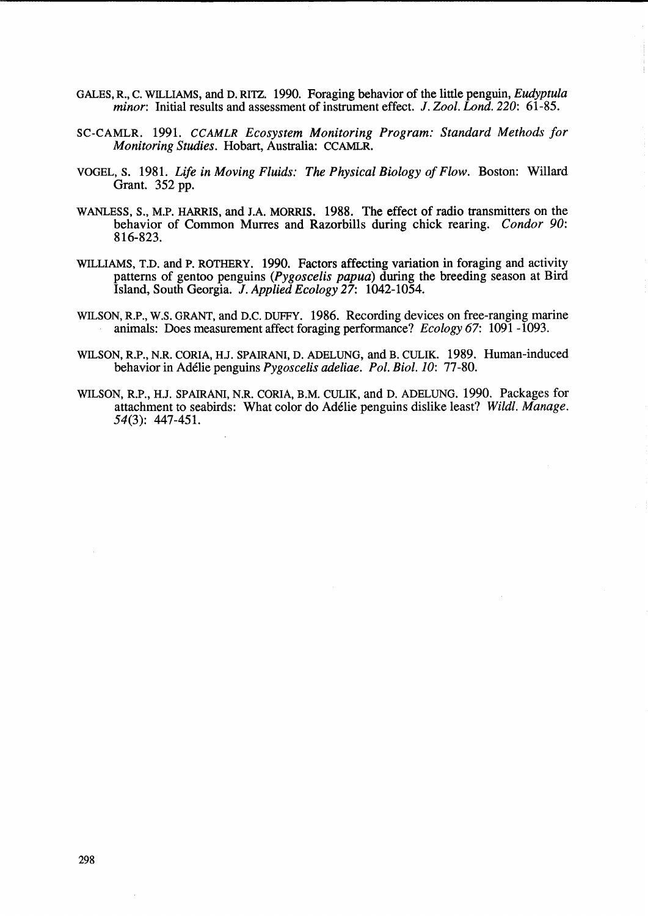- GALES, R., C. WILLIAMS, and D. RITZ. 1990. Foraging behavior of the little penguin, *Eudyptula minor:* Initial results and assessment of instrument effect. J. *Zool. Lond. 220: 61-85.*
- SC-CAMLR. 1991. *CCAMLR Ecosystem Monitoring Program: Standard Methods for Monitoring Studies.* Hobart, Australia: CCAMLR.
- VOGEL, S. 1981. *Life in Moving Fluids: The Physical Biology of Flow.* Boston: Willard Grant. 352 pp.
- WANLESS, *S.,* M.P. HARRIS, and *I.A.* MORRIS. 1988. The effect of radio transmitters on the behavior of Common Murres and Razorbills during chick rearing. *Condor 90:*  816-823.
- WILLIAMS, T.D. and P. ROTHERY. 1990. Factors affecting variation in foraging and activity patterns of gentoo penguins *(Pygoscelis papua)* during the breeding season at Bird Island, South Georgia. J. *Applied Ecology* 27: 1042-1054.
- WILSON, R.P., W.S. GRANT, and D.C. DUFFY. 1986. Recording devices on free-ranging marine animals: Does measurement affect foraging performance? *Ecology* 67: 1091 -1093.
- WILSON, R.P., N.R. CORIA, HJ. SPAIRANI, D. ADELUNG, and B. CULIK. 1989. Human-induced behavior in Ad6lie penguins *Pygoscelis adeliae. Pol. Bioi. 10: 77-80.*
- WILSON, R.P., HJ. SPAIRANI, N.R. CORIA, B.M. CULIK, and D. ADELUNG. 1990. Packages for attachment to seabirds: What color do Ad6lie penguins dislike least? *Wildl. Manage.*  54(3): 447-451.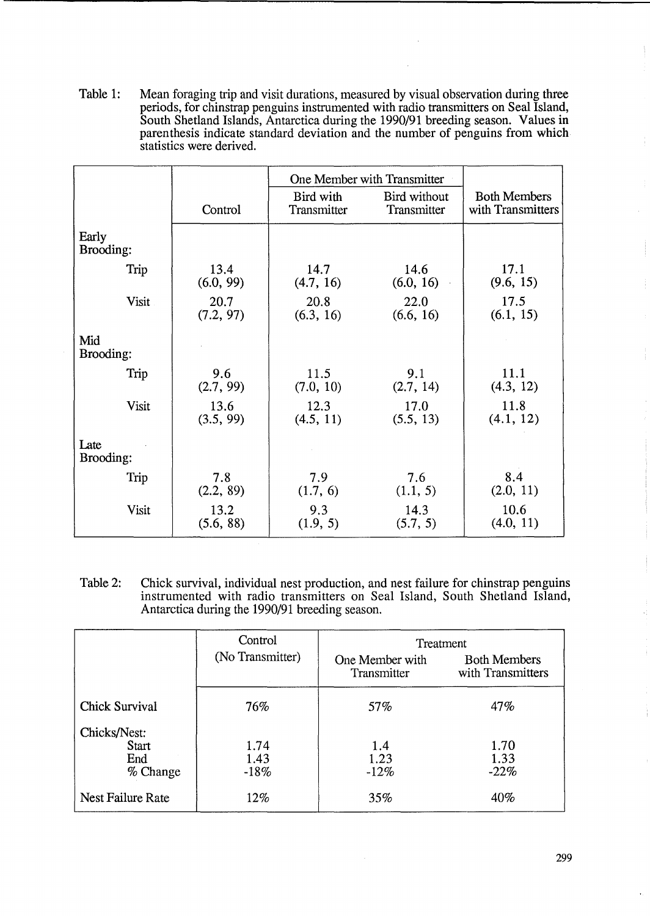Table 1: Mean foraging trip and visit durations, measured by visual observation during three periods, for chinstrap penguins instrumented with radio transmitters on Seal Island, South Shetland Islands, Antarctica during the 1990/91 breeding season. Values in parenthesis indicate standard deviation and the number of penguins from which statistics were derived.

|                    |           | One Member with Transmitter |                             |                                          |
|--------------------|-----------|-----------------------------|-----------------------------|------------------------------------------|
|                    | Control   | Bird with<br>Transmitter    | Bird without<br>Transmitter | <b>Both Members</b><br>with Transmitters |
| Early<br>Brooding: |           |                             |                             |                                          |
| Trip               | 13.4      | 14.7                        | 14.6                        | 17.1                                     |
|                    | (6.0, 99) | (4.7, 16)                   | (6.0, 16)                   | (9.6, 15)                                |
| Visit              | 20.7      | 20.8                        | 22.0                        | 17.5                                     |
|                    | (7.2, 97) | (6.3, 16)                   | (6.6, 16)                   | (6.1, 15)                                |
| Mid<br>Brooding:   |           |                             |                             |                                          |
| Trip               | 9.6       | 11.5                        | 9.1                         | 11.1                                     |
|                    | (2.7, 99) | (7.0, 10)                   | (2.7, 14)                   | (4.3, 12)                                |
| Visit              | 13.6      | 12.3                        | 17.0                        | 11.8                                     |
|                    | (3.5, 99) | (4.5, 11)                   | (5.5, 13)                   | (4.1, 12)                                |
| Late<br>Brooding:  |           |                             |                             |                                          |
| Trip               | 7.8       | 7.9                         | 7.6                         | 8.4                                      |
|                    | (2.2, 89) | (1.7, 6)                    | (1.1, 5)                    | (2.0, 11)                                |
| Visit              | 13.2      | 9.3                         | 14.3                        | 10.6                                     |
|                    | (5.6, 88) | (1.9, 5)                    | (5.7, 5)                    | (4.0, 11)                                |

Table 2: Chick survival, individual nest production, and nest failure for chinstrap penguins instrumented with radio transmitters on Seal Island, South Shetland Island, Antarctica during the 1990/91 breeding season.

|                                                 | Control                | Treatment                      |                                          |  |
|-------------------------------------------------|------------------------|--------------------------------|------------------------------------------|--|
|                                                 | (No Transmitter)       | One Member with<br>Transmitter | <b>Both Members</b><br>with Transmitters |  |
| <b>Chick Survival</b>                           | 76%                    | 57%                            | 47%                                      |  |
| Chicks/Nest:<br><b>Start</b><br>End<br>% Change | 1.74<br>1.43<br>$-18%$ | 1.4<br>1.23<br>$-12%$          | 1.70<br>1.33<br>$-22%$                   |  |
| <b>Nest Failure Rate</b>                        | 12%                    | 35%                            | 40%                                      |  |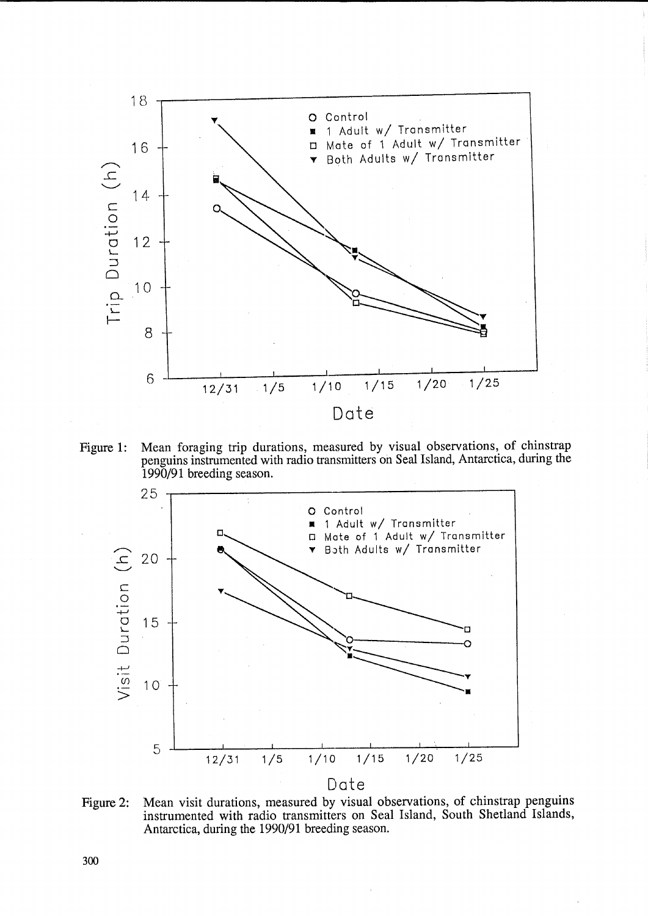

Figure 1: Mean foraging trip durations, measured by visual observations, of chinstrap penguins instrumented with radio transmitters on Seal Island, Antarctica, during the 1990/91 breeding season.



Figure 2: Mean visit durations, measured by visual observations, of chinstrap penguins instrumented with radio transmitters on Seal Island, South Shetland Islands, Antarctica, during the 1990/91 breeding season.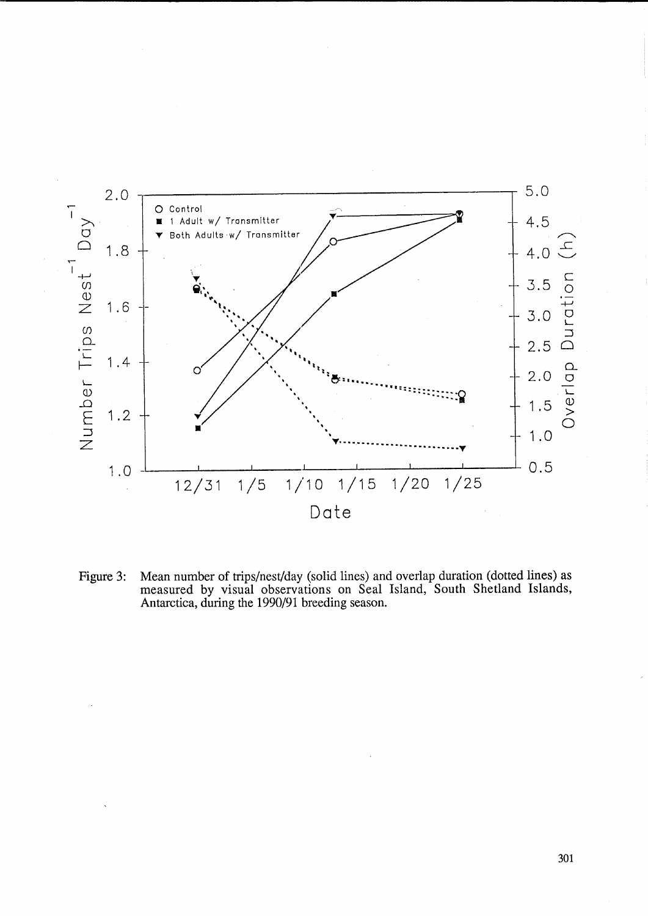

Mean number of trips/nest/day (solid lines) and overlap duration (dotted lines) as measured by visual observations on Seal Island, South Shetland Islands, Antarctica, during the 1990/91 breeding season. Figure 3: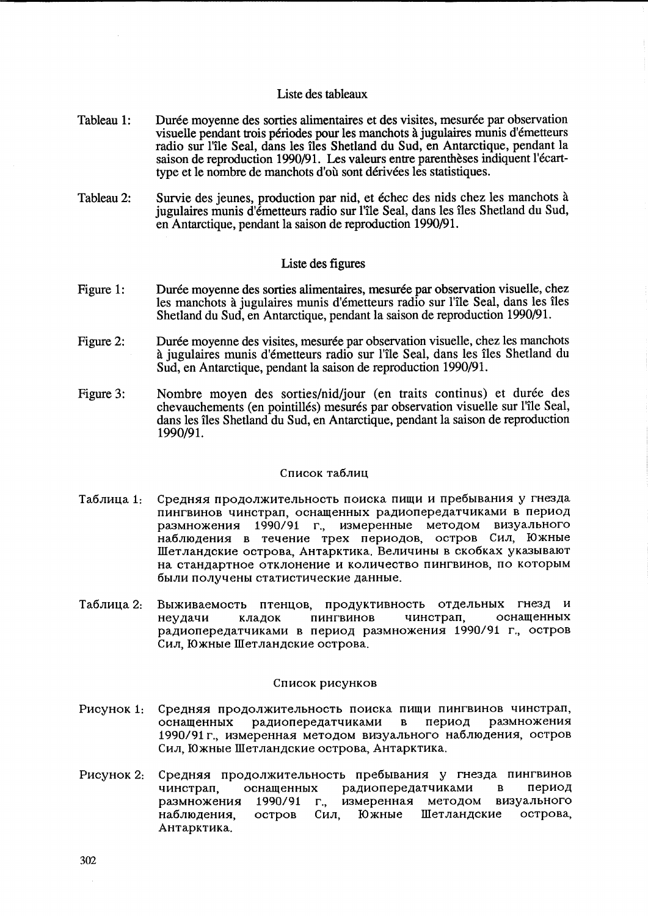#### Liste des tableaux

- Tableau 1: Durée moyenne des sorties alimentaires et des visites, mesurée par observation visuelle pendant trois périodes pour les manchots à jugulaires munis d'émetteurs radio sur l'île Seal, dans les îles Shetland du Sud, en Antarctique, pendant la saison de reproduction 1990/91. Les valeurs entre parenthèses indiquent l'écarttype et le nombre de manchots d'ou sont derivees les statistiques.
- Tableau 2: Survie des jeunes, production par nid, et échec des nids chez les manchots à jugulaires munis d'émetteurs radio sur l'île Seal, dans les îles Shetland du Sud, en Antarctique, pendant la saison de reproduction 1990/91.

#### Liste des figures

- Figure 1: Durée moyenne des sorties alimentaires, mesurée par observation visuelle, chez les manchots à jugulaires munis d'émetteurs radio sur l'île Seal, dans les îles Shetland du Sud, en Antarctique, pendant la saison de reproduction 1990/91.
- Figure 2: Durée moyenne des visites, mesurée par observation visuelle, chez les manchots it jugulaires munis d'emetteurs radio sur l'ile Seal, dans les iles Shetland du Sud, en Antarctique, pendant la saison de reproduction 1990/91.
- Figure 3: Nombre moyen des sorties/nid/jour (en traits continus) et durée des chevauchements (en pointillés) mesurés par observation visuelle sur l'île Seal, dans les Iles Shetland du Sud, en Antarctique, pendant la saison de reproduction 1990/91.

#### Список таблиц

- Таблица 1: Средняя продолжительность поиска пищи и пребывания у гнезда пингвинов чинстрап, оснащенных радиопередатчиками в период размножения 1990/91 г., измеренные методом визуального наблюдения в течение трех периодов, остров Сил, Южные IIIeT JIaH,l(CKHe oCTpoBa, AHTapKTHKa. BeJIHtIHHbI B cKo6Kax YKa3bIBaIOT на стандартное отклонение и количество пингвинов, по которым были получены статистические данные.
- Tаблица 2: Выживаемость птенцов, продуктивность отдельных гнезд и Неудачи кладок пингвинов чинстрап, оснащенных радиопередатчиками в период размножения 1990/91 г., остров Сил, Южные Шетландские острова.

#### Список рисунков

- Pисунок 1: Средняя продолжительность поиска пищи пингвинов чинстрап,<br>оснашенных ралиоперелатчиками в период размножения оснащенных радиопередатчиками в период 1990/91 г., измеренная методом визуального наблюдения, остров Сил, Южные Шетландские острова, Антарктика.
- Рисунок 2: Средняя продолжительность пребывания у гнезда пингвинов чинстрап, оснащенных радиопередатчиками в период размножения 1990/91 г., измеренная методом визуального наблюдения, остров Сил, Южные Шетландские острова, AHTapKTHKa.